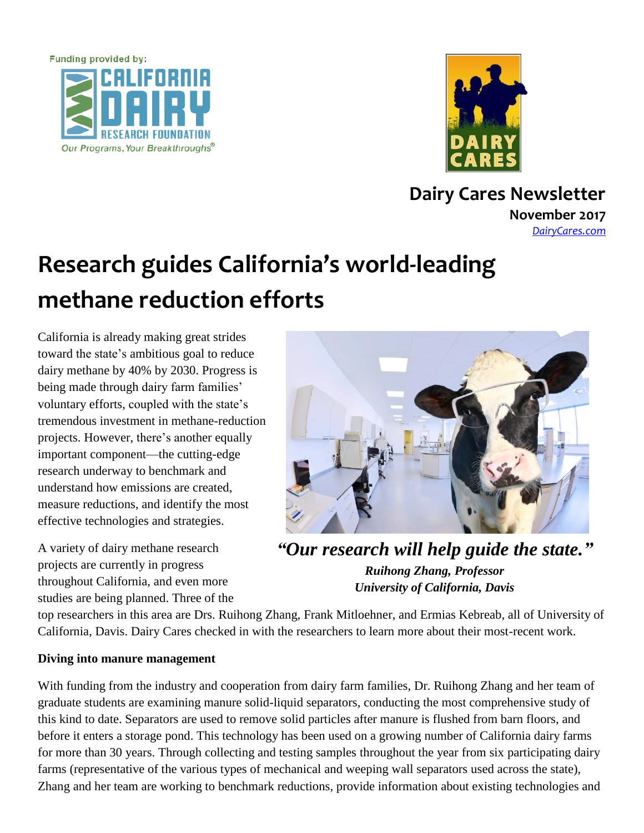



**Dairy Cares Newsletter November 2017**

*[DairyCares.com](http://www.dairycares.com/)*

# **Research guides California's world-leading methane reduction efforts**

California is already making great strides toward the state's ambitious goal to reduce dairy methane by 40% by 2030. Progress is being made through dairy farm families' voluntary efforts, coupled with the state's tremendous investment in methane-reduction projects. However, there's another equally important component—the cutting-edge research underway to benchmark and understand how emissions are created, measure reductions, and identify the most effective technologies and strategies.

A variety of dairy methane research projects are currently in progress throughout California, and even more studies are being planned. Three of the



*"Our research will help guide the state." Ruihong Zhang, Professor University of California, Davis*

top researchers in this area are Drs. Ruihong Zhang, Frank Mitloehner, and Ermias Kebreab, all of University of California, Davis. Dairy Cares checked in with the researchers to learn more about their most-recent work.

### **Diving into manure management**

With funding from the industry and cooperation from dairy farm families, Dr. Ruihong Zhang and her team of graduate students are examining manure solid-liquid separators, conducting the most comprehensive study of this kind to date. Separators are used to remove solid particles after manure is flushed from barn floors, and before it enters a storage pond. This technology has been used on a growing number of California dairy farms for more than 30 years. Through collecting and testing samples throughout the year from six participating dairy farms (representative of the various types of mechanical and weeping wall separators used across the state), Zhang and her team are working to benchmark reductions, provide information about existing technologies and